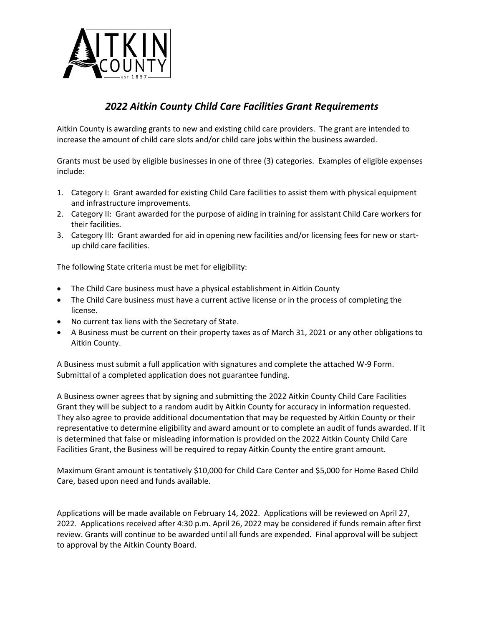

## *2022 Aitkin County Child Care Facilities Grant Requirements*

Aitkin County is awarding grants to new and existing child care providers. The grant are intended to increase the amount of child care slots and/or child care jobs within the business awarded.

Grants must be used by eligible businesses in one of three (3) categories. Examples of eligible expenses include:

- 1. Category I: Grant awarded for existing Child Care facilities to assist them with physical equipment and infrastructure improvements.
- 2. Category II: Grant awarded for the purpose of aiding in training for assistant Child Care workers for their facilities.
- 3. Category III: Grant awarded for aid in opening new facilities and/or licensing fees for new or startup child care facilities.

The following State criteria must be met for eligibility:

- The Child Care business must have a physical establishment in Aitkin County
- The Child Care business must have a current active license or in the process of completing the license.
- No current tax liens with the Secretary of State.
- A Business must be current on their property taxes as of March 31, 2021 or any other obligations to Aitkin County.

A Business must submit a full application with signatures and complete the attached W-9 Form. Submittal of a completed application does not guarantee funding.

A Business owner agrees that by signing and submitting the 2022 Aitkin County Child Care Facilities Grant they will be subject to a random audit by Aitkin County for accuracy in information requested. They also agree to provide additional documentation that may be requested by Aitkin County or their representative to determine eligibility and award amount or to complete an audit of funds awarded. If it is determined that false or misleading information is provided on the 2022 Aitkin County Child Care Facilities Grant, the Business will be required to repay Aitkin County the entire grant amount.

Maximum Grant amount is tentatively \$10,000 for Child Care Center and \$5,000 for Home Based Child Care, based upon need and funds available.

Applications will be made available on February 14, 2022. Applications will be reviewed on April 27, 2022. Applications received after 4:30 p.m. April 26, 2022 may be considered if funds remain after first review. Grants will continue to be awarded until all funds are expended. Final approval will be subject to approval by the Aitkin County Board.